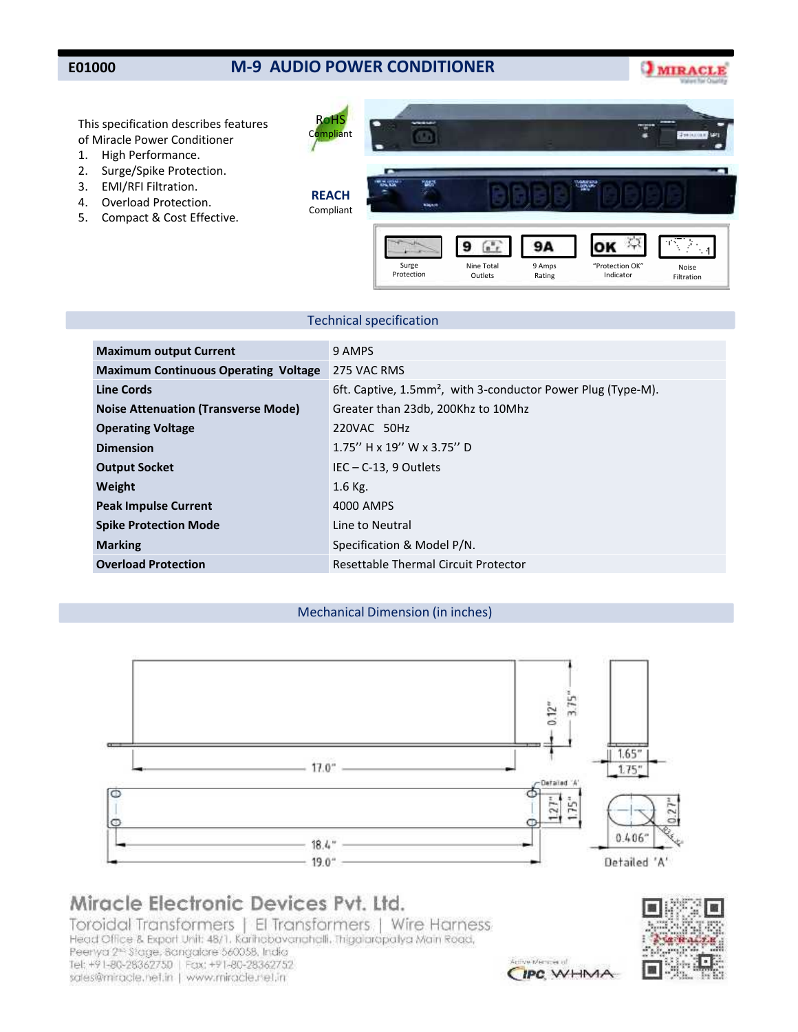## **M-9 AUDIO POWER CONDITIONER**

**MIRACLI** 

This specification describes features of Miracle Power Conditioner

- 1. High Performance.
- 2. Surge/Spike Protection.
- 3. EMI/RFI Filtration.
- 4. Overload Protection.
- 5. Compact & Cost Effective.



## Technical specification

| <b>Maximum output Current</b>               | 9 AMPS                                                                   |
|---------------------------------------------|--------------------------------------------------------------------------|
| <b>Maximum Continuous Operating Voltage</b> | 275 VAC RMS                                                              |
| <b>Line Cords</b>                           | 6ft. Captive, 1.5mm <sup>2</sup> , with 3-conductor Power Plug (Type-M). |
| <b>Noise Attenuation (Transverse Mode)</b>  | Greater than 23db, 200Khz to 10Mhz                                       |
| <b>Operating Voltage</b>                    | 220VAC 50Hz                                                              |
| <b>Dimension</b>                            | $1.75''$ H x 19" W x 3.75" D                                             |
| <b>Output Socket</b>                        | $IEC - C-13$ , 9 Outlets                                                 |
| Weight                                      | $1.6$ Kg.                                                                |
| <b>Peak Impulse Current</b>                 | 4000 AMPS                                                                |
| <b>Spike Protection Mode</b>                | Line to Neutral                                                          |
| <b>Marking</b>                              | Specification & Model P/N.                                               |
| <b>Overload Protection</b>                  | Resettable Thermal Circuit Protector                                     |

### Mechanical Dimension (in inches)



# Miracle Electronic Devices Pvt. Ltd.

Toroidal Transformers | El Transformers | Wire Harness Head Office & Export Unit: 48/1. Karihobavanghalli. Thigalaropalya Main Road, Peerlya 2<sup>no</sup> Stage, Sangalare 560058, India Tel: +91-80-28362750 | Fax: +91-80-28362752 sales@miracle.nef.in | www.miracle.net.in



a planners of CIPC WHMA

# **E01000**